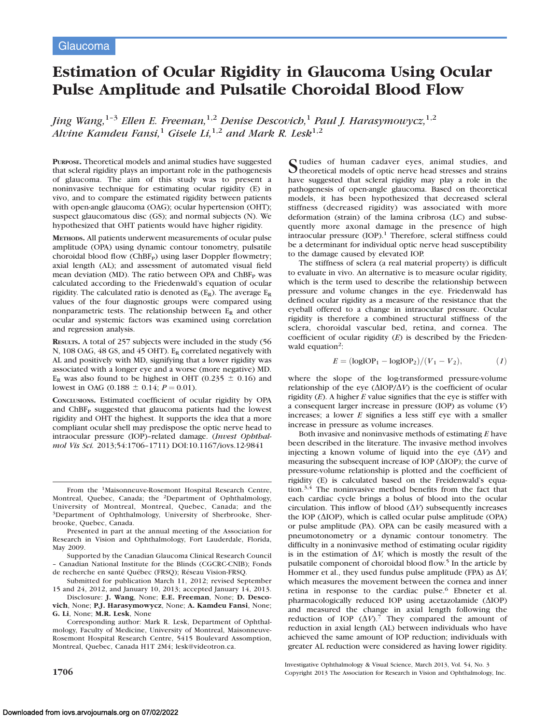# Estimation of Ocular Rigidity in Glaucoma Using Ocular Pulse Amplitude and Pulsatile Choroidal Blood Flow

Jing Wang,<sup>1-3</sup> Ellen E. Freeman,<sup>1,2</sup> Denise Descovich,<sup>1</sup> Paul J. Harasymowycz,<sup>1,2</sup> Alvine Kamdeu Fansi,<sup>1</sup> Gisele Li,<sup>1,2</sup> and Mark R. Lesk<sup>1,2</sup>

PURPOSE. Theoretical models and animal studies have suggested that scleral rigidity plays an important role in the pathogenesis of glaucoma. The aim of this study was to present a noninvasive technique for estimating ocular rigidity (E) in vivo, and to compare the estimated rigidity between patients with open-angle glaucoma (OAG); ocular hypertension (OHT); suspect glaucomatous disc (GS); and normal subjects (N). We hypothesized that OHT patients would have higher rigidity.

METHODS. All patients underwent measurements of ocular pulse amplitude (OPA) using dynamic contour tonometry, pulsatile choroidal blood flow (ChBF<sub>P</sub>) using laser Doppler flowmetry; axial length (AL); and assessment of automated visual field mean deviation (MD). The ratio between OPA and  $ChBF<sub>P</sub>$  was calculated according to the Friedenwald's equation of ocular rigidity. The calculated ratio is denoted as  $(E_R)$ . The average  $E_R$ values of the four diagnostic groups were compared using nonparametric tests. The relationship between  $E_R$  and other ocular and systemic factors was examined using correlation and regression analysis.

RESULTS. A total of 257 subjects were included in the study (56 N, 108 OAG, 48 GS, and 45 OHT). ER correlated negatively with AL and positively with MD, signifying that a lower rigidity was associated with a longer eye and a worse (more negative) MD.  $E_R$  was also found to be highest in OHT (0.235  $\pm$  0.16) and lowest in OAG (0.188  $\pm$  0.14;  $P = 0.01$ ).

CONCLUSIONS. Estimated coefficient of ocular rigidity by OPA and  $ChBF<sub>p</sub>$  suggested that glaucoma patients had the lowest rigidity and OHT the highest. It supports the idea that a more compliant ocular shell may predispose the optic nerve head to intraocular pressure (IOP)–related damage. (Invest Ophthalmol Vis Sci. 2013;54:1706–1711) DOI:10.1167/iovs.12-9841

Presented in part at the annual meeting of the Association for Research in Vision and Ophthalmology, Fort Lauderdale, Florida, May 2009.

Supported by the Canadian Glaucoma Clinical Research Council – Canadian National Institute for the Blinds (CGCRC-CNIB); Fonds de recherche en santé Québec (FRSQ); Réseau Vision-FRSQ.

Submitted for publication March 11, 2012; revised September 15 and 24, 2012, and January 10, 2013; accepted January 14, 2013.

Disclosure: J. Wang, None; E.E. Freeman, None; D. Descovich, None; P.J. Harasymowycz, None; A. Kamdeu Fansi, None; G. Li, None; M.R. Lesk, None

Corresponding author: Mark R. Lesk, Department of Ophthalmology, Faculty of Medicine, University of Montreal, Maisonneuve-Rosemont Hospital Research Centre, 5415 Boulevard Assomption, Montreal, Quebec, Canada H1T 2M4; lesk@videotron.ca.

Studies of human cadaver eyes, animal studies, and theoretical models of optic nerve head stresses and strains have suggested that scleral rigidity may play a role in the pathogenesis of open-angle glaucoma. Based on theoretical models, it has been hypothesized that decreased scleral stiffness (decreased rigidity) was associated with more deformation (strain) of the lamina cribrosa (LC) and subsequently more axonal damage in the presence of high intraocular pressure (IOP).<sup>1</sup> Therefore, scleral stiffness could be a determinant for individual optic nerve head susceptibility to the damage caused by elevated IOP.

The stiffness of sclera (a real material property) is difficult to evaluate in vivo. An alternative is to measure ocular rigidity, which is the term used to describe the relationship between pressure and volume changes in the eye. Friedenwald has defined ocular rigidity as a measure of the resistance that the eyeball offered to a change in intraocular pressure. Ocular rigidity is therefore a combined structural stiffness of the sclera, choroidal vascular bed, retina, and cornea. The coefficient of ocular rigidity  $(E)$  is described by the Friedenwald equation<sup>2</sup>:

$$
E = \frac{\log IOP_1 - \log IOP_2}{V_1 - V_2},\tag{1}
$$

where the slope of the log-transformed pressure-volume relationship of the eye  $(\Delta IOP/\Delta V)$  is the coefficient of ocular rigidity  $(E)$ . A higher  $E$  value signifies that the eye is stiffer with a consequent larger increase in pressure (IOP) as volume (V) increases; a lower  $E$  signifies a less stiff eye with a smaller increase in pressure as volume increases.

Both invasive and noninvasive methods of estimating  $E$  have been described in the literature. The invasive method involves injecting a known volume of liquid into the eye  $(\Delta V)$  and measuring the subsequent increase of IOP ( $\triangle$ IOP); the curve of pressure-volume relationship is plotted and the coefficient of rigidity (E) is calculated based on the Freidenwald's equation.3,4 The noninvasive method benefits from the fact that each cardiac cycle brings a bolus of blood into the ocular circulation. This inflow of blood  $(\Delta V)$  subsequently increases the IOP ( $\Delta$ IOP), which is called ocular pulse amplitude (OPA) or pulse amplitude (PA). OPA can be easily measured with a pneumotonometry or a dynamic contour tonometry. The difficulty in a noninvasive method of estimating ocular rigidity is in the estimation of  $\Delta V$ , which is mostly the result of the pulsatile component of choroidal blood flow.<sup>5</sup> In the article by Hommer et al., they used fundus pulse amplitude (FPA) as  $\Delta V$ , which measures the movement between the cornea and inner retina in response to the cardiac pulse.<sup>6</sup> Ebneter et al. pharmacologically reduced IOP using acetazolamide  $(\Delta IOP)$ and measured the change in axial length following the reduction of IOP  $(\Delta V)^{7}$ . They compared the amount of reduction in axial length (AL) between individuals who have achieved the same amount of IOP reduction; individuals with greater AL reduction were considered as having lower rigidity.

Investigative Ophthalmology & Visual Science, March 2013, Vol. 54, No. 3 1706 Copyright 2013 The Association for Research in Vision and Ophthalmology, Inc.

From the 1Maisonneuve-Rosemont Hospital Research Centre, Montreal, Quebec, Canada; the 2Department of Ophthalmology, University of Montreal, Montreal, Quebec, Canada; and the 3Department of Ophthalmology, University of Sherbrooke, Sherbrooke, Quebec, Canada.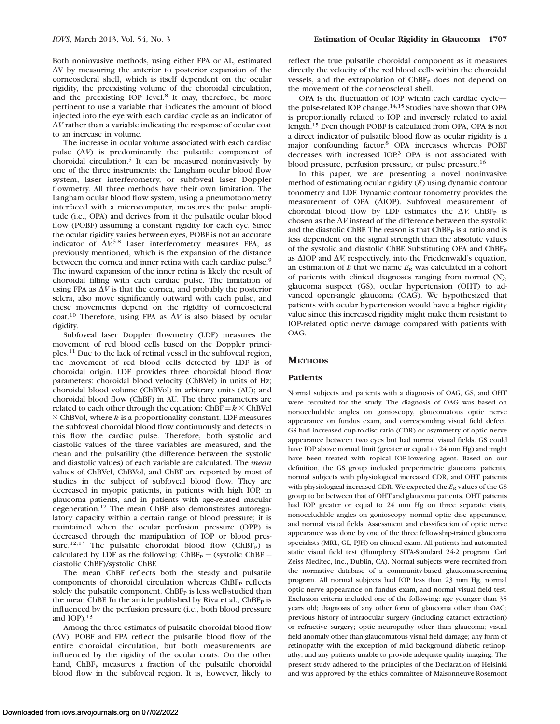Both noninvasive methods, using either FPA or AL, estimated  $\Delta V$  by measuring the anterior to posterior expansion of the corneoscleral shell, which is itself dependent on the ocular rigidity, the preexisting volume of the choroidal circulation, and the preexisting IOP level.<sup>8</sup> It may, therefore, be more pertinent to use a variable that indicates the amount of blood injected into the eye with each cardiac cycle as an indicator of  $\Delta V$  rather than a variable indicating the response of ocular coat to an increase in volume.

The increase in ocular volume associated with each cardiac pulse  $(\Delta V)$  is predominantly the pulsatile component of choroidal circulation.<sup>5</sup> It can be measured noninvasively by one of the three instruments: the Langham ocular blood flow system, laser interferometry, or subfoveal laser Doppler flowmetry. All three methods have their own limitation. The Langham ocular blood flow system, using a pneumotonometry interfaced with a microcomputer, measures the pulse amplitude (i.e., OPA) and derives from it the pulsatile ocular blood flow (POBF) assuming a constant rigidity for each eye. Since the ocular rigidity varies between eyes, POBF is not an accurate indicator of  $\Delta V^{5,8}$  Laser interferometry measures FPA, as previously mentioned, which is the expansion of the distance between the cornea and inner retina with each cardiac pulse.<sup>9</sup> The inward expansion of the inner retina is likely the result of choroidal filling with each cardiac pulse. The limitation of using FPA as  $\Delta V$  is that the cornea, and probably the posterior sclera, also move significantly outward with each pulse, and these movements depend on the rigidity of corneoscleral coat.<sup>10</sup> Therefore, using FPA as  $\Delta V$  is also biased by ocular rigidity.

Subfoveal laser Doppler flowmetry (LDF) measures the movement of red blood cells based on the Doppler principles.<sup>11</sup> Due to the lack of retinal vessel in the subfoveal region, the movement of red blood cells detected by LDF is of choroidal origin. LDF provides three choroidal blood flow parameters: choroidal blood velocity (ChBVel) in units of Hz; choroidal blood volume (ChBVol) in arbitrary units (AU); and choroidal blood flow (ChBF) in AU. The three parameters are related to each other through the equation: ChBF =  $k \times$  ChBVel  $\times$  ChBVol, where k is a proportionality constant. LDF measures the subfoveal choroidal blood flow continuously and detects in this flow the cardiac pulse. Therefore, both systolic and diastolic values of the three variables are measured, and the mean and the pulsatility (the difference between the systolic and diastolic values) of each variable are calculated. The mean values of ChBVel, ChBVol, and ChBF are reported by most of studies in the subject of subfoveal blood flow. They are decreased in myopic patients, in patients with high IOP, in glaucoma patients, and in patients with age-related macular degeneration.<sup>12</sup> The mean ChBF also demonstrates autoregulatory capacity within a certain range of blood pressure; it is maintained when the ocular perfusion pressure (OPP) is decreased through the manipulation of IOP or blood pressure.<sup>12,13</sup> The pulsatile choroidal blood flow (ChBF<sub>P</sub>) is calculated by LDF as the following:  $ChBF_P = (systolic ChBF$ diastolic ChBF)/systolic ChBF.

The mean ChBF reflects both the steady and pulsatile components of choroidal circulation whereas ChBF<sub>P</sub> reflects solely the pulsatile component.  $ChBF<sub>P</sub>$  is less well-studied than the mean ChBF. In the article published by Riva et al.,  $ChBF<sub>P</sub>$  is influenced by the perfusion pressure (i.e., both blood pressure and IOP $13$ 

Among the three estimates of pulsatile choroidal blood flow  $(\Delta V)$ , POBF and FPA reflect the pulsatile blood flow of the entire choroidal circulation, but both measurements are influenced by the rigidity of the ocular coats. On the other hand, ChBF<sub>P</sub> measures a fraction of the pulsatile choroidal blood flow in the subfoveal region. It is, however, likely to reflect the true pulsatile choroidal component as it measures directly the velocity of the red blood cells within the choroidal vessels, and the extrapolation of ChBF<sub>P</sub> does not depend on the movement of the corneoscleral shell.

OPA is the fluctuation of IOP within each cardiac cycle the pulse-related IOP change.<sup>14,15</sup> Studies have shown that OPA is proportionally related to IOP and inversely related to axial length.15 Even though POBF is calculated from OPA, OPA is not a direct indicator of pulsatile blood flow as ocular rigidity is a major confounding factor.<sup>8</sup> OPA increases whereas POBF decreases with increased IOP.<sup>3</sup> OPA is not associated with blood pressure, perfusion pressure, or pulse pressure.<sup>16</sup>

In this paper, we are presenting a novel noninvasive method of estimating ocular rigidity (E) using dynamic contour tonometry and LDF. Dynamic contour tonometry provides the measurement of OPA ( $\Delta$ IOP). Subfoveal measurement of choroidal blood flow by LDF estimates the  $\Delta V$ . ChBF<sub>P</sub> is chosen as the  $\Delta V$  instead of the difference between the systolic and the diastolic ChBF. The reason is that  $ChBF<sub>P</sub>$  is a ratio and is less dependent on the signal strength than the absolute values of the systolic and diastolic ChBF. Substituting OPA and ChBF<sub>P</sub> as  $\Delta IOP$  and  $\Delta V$ , respectively, into the Friedenwald's equation, an estimation of  $E$  that we name  $E_R$  was calculated in a cohort of patients with clinical diagnoses ranging from normal (N), glaucoma suspect (GS), ocular hypertension (OHT) to advanced open-angle glaucoma (OAG). We hypothesized that patients with ocular hypertension would have a higher rigidity value since this increased rigidity might make them resistant to IOP-related optic nerve damage compared with patients with OAG.

## **METHODS**

### Patients

Normal subjects and patients with a diagnosis of OAG, GS, and OHT were recruited for the study. The diagnosis of OAG was based on nonoccludable angles on gonioscopy, glaucomatous optic nerve appearance on fundus exam, and corresponding visual field defect. GS had increased cup-to-disc ratio (CDR) or asymmetry of optic nerve appearance between two eyes but had normal visual fields. GS could have IOP above normal limit (greater or equal to 24 mm Hg) and might have been treated with topical IOP-lowering agent. Based on our definition, the GS group included preperimetric glaucoma patients, normal subjects with physiological increased CDR, and OHT patients with physiological increased CDR. We expected the  $E_R$  values of the GS group to be between that of OHT and glaucoma patients. OHT patients had IOP greater or equal to 24 mm Hg on three separate visits, nonoccludable angles on gonioscopy, normal optic disc appearance, and normal visual fields. Assessment and classification of optic nerve appearance was done by one of the three fellowship-trained glaucoma specialists (MRL, GL, PJH) on clinical exam. All patients had automated static visual field test (Humphrey SITA-Standard 24-2 program; Carl Zeiss Meditec, Inc., Dublin, CA). Normal subjects were recruited from the normative database of a community-based glaucoma-screening program. All normal subjects had IOP less than 23 mm Hg, normal optic nerve appearance on fundus exam, and normal visual field test. Exclusion criteria included one of the following: age younger than 35 years old; diagnosis of any other form of glaucoma other than OAG; previous history of intraocular surgery (including cataract extraction) or refractive surgery; optic neuropathy other than glaucoma; visual field anomaly other than glaucomatous visual field damage; any form of retinopathy with the exception of mild background diabetic retinopathy; and any patients unable to provide adequate quality imaging. The present study adhered to the principles of the Declaration of Helsinki and was approved by the ethics committee of Maisonneuve-Rosemont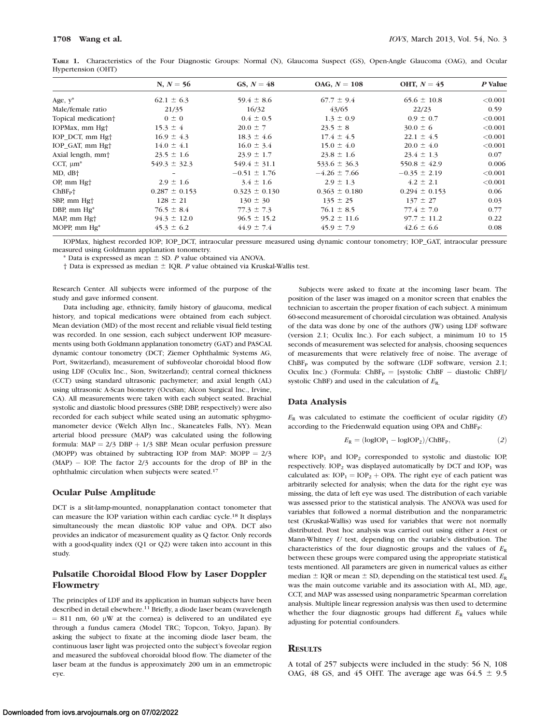| N, $N = 56$       | GS, $N = 48$      | $OAG$ , $N = 108$ | OHT, $N = 45$     | P Value |
|-------------------|-------------------|-------------------|-------------------|---------|
| $62.1 \pm 6.3$    | $59.4 \pm 8.6$    | $67.7 \pm 9.4$    | $65.6 \pm 10.8$   | < 0.001 |
| 21/35             | 16/32             | 43/65             | 22/23             | 0.59    |
| $0 \pm 0$         | $0.4 \pm 0.5$     | $1.3 \pm 0.9$     | $0.9 \pm 0.7$     | < 0.001 |
| $15.3 \pm 4$      | $20.0 \pm 7$      | $23.5 \pm 8$      | $30.0 \pm 6$      | < 0.001 |
| $16.9 \pm 4.3$    | $18.3 \pm 4.6$    | $17.4 \pm 4.5$    | $22.1 \pm 4.5$    | < 0.001 |
| $14.0 \pm 4.1$    | $16.0 \pm 3.4$    | $15.0 \pm 4.0$    | $20.0 \pm 4.0$    | < 0.001 |
| $23.5 \pm 1.6$    | $23.9 \pm 1.7$    | $23.8 \pm 1.6$    | $23.4 \pm 1.3$    | 0.07    |
| $549.3 \pm 32.3$  | $549.4 \pm 31.1$  | $533.6 \pm 36.3$  | $550.8 \pm 42.9$  | 0.006   |
|                   | $-0.51 \pm 1.76$  | $-4.26 \pm 7.66$  | $-0.35 \pm 2.19$  | < 0.001 |
| $2.9 \pm 1.6$     | $3.4 \pm 1.6$     | $2.9 \pm 1.3$     | $4.2 \pm 2.1$     | < 0.001 |
| $0.287 \pm 0.153$ | $0.323 \pm 0.130$ | $0.363 \pm 0.180$ | $0.294 \pm 0.153$ | 0.06    |
| $128 \pm 21$      | $130 \pm 30$      | $135 \pm 25$      | $137 \pm 27$      | 0.03    |
| $76.5 \pm 8.4$    | $77.3 \pm 7.3$    | $76.1 \pm 8.5$    | $77.4 \pm 7.0$    | 0.77    |
| $94.3 \pm 12.0$   | $96.5 \pm 15.2$   | $95.2 \pm 11.6$   | $97.7 \pm 11.2$   | 0.22    |
| $45.3 \pm 6.2$    | $44.9 \pm 7.4$    | $45.9 \pm 7.9$    | $42.6 \pm 6.6$    | 0.08    |
|                   |                   |                   |                   |         |

TABLE 1. Characteristics of the Four Diagnostic Groups: Normal (N), Glaucoma Suspect (GS), Open-Angle Glaucoma (OAG), and Ocular Hypertension (OHT)

IOPMax, highest recorded IOP; IOP\_DCT, intraocular pressure measured using dynamic contour tonometry; IOP\_GAT, intraocular pressure measured using Goldmann applanation tonometry.

\* Data is expressed as mean  $\pm$  SD. P value obtained via ANOVA.

† Data is expressed as median  $\pm$  IQR. P value obtained via Kruskal-Wallis test.

Research Center. All subjects were informed of the purpose of the study and gave informed consent.

Data including age, ethnicity, family history of glaucoma, medical history, and topical medications were obtained from each subject. Mean deviation (MD) of the most recent and reliable visual field testing was recorded. In one session, each subject underwent IOP measurements using both Goldmann applanation tonometry (GAT) and PASCAL dynamic contour tonometry (DCT; Ziemer Ophthalmic Systems AG, Port, Switzerland), measurement of subfoveolar choroidal blood flow using LDF (Oculix Inc., Sion, Switzerland); central corneal thickness (CCT) using standard ultrasonic pachymeter; and axial length (AL) using ultrasonic A-Scan biometry (OcuSan; Alcon Surgical Inc., Irvine, CA). All measurements were taken with each subject seated. Brachial systolic and diastolic blood pressures (SBP, DBP, respectively) were also recorded for each subject while seated using an automatic sphygmomanometer device (Welch Allyn Inc., Skaneateles Falls, NY). Mean arterial blood pressure (MAP) was calculated using the following formula:  $MAP = 2/3 DBP + 1/3 SBP$ . Mean ocular perfusion pressure (MOPP) was obtained by subtracting IOP from MAP: MOPP  $= 2/3$ (MAP) - IOP. The factor 2/3 accounts for the drop of BP in the ophthalmic circulation when subjects were seated.<sup>17</sup>

#### Ocular Pulse Amplitude

DCT is a slit-lamp-mounted, nonapplanation contact tonometer that can measure the IOP variation within each cardiac cycle.18 It displays simultaneously the mean diastolic IOP value and OPA. DCT also provides an indicator of measurement quality as Q factor. Only records with a good-quality index (Q1 or Q2) were taken into account in this study.

# Pulsatile Choroidal Blood Flow by Laser Doppler Flowmetry

The principles of LDF and its application in human subjects have been described in detail elsewhere.<sup>11</sup> Briefly, a diode laser beam (wavelength  $= 811$  nm, 60 µW at the cornea) is delivered to an undilated eye through a fundus camera (Model TRC; Topcon, Tokyo, Japan). By asking the subject to fixate at the incoming diode laser beam, the continuous laser light was projected onto the subject's foveolar region and measured the subfoveal choroidal blood flow. The diameter of the laser beam at the fundus is approximately 200 um in an emmetropic eye.

Subjects were asked to fixate at the incoming laser beam. The position of the laser was imaged on a monitor screen that enables the technician to ascertain the proper fixation of each subject. A minimum 60-second measurement of choroidal circulation was obtained. Analysis of the data was done by one of the authors (JW) using LDF software (version 2.1; Oculix Inc.). For each subject, a minimum 10 to 15 seconds of measurement was selected for analysis, choosing sequences of measurements that were relatively free of noise. The average of  $ChBF<sub>P</sub>$  was computed by the software (LDF software, version 2.1; Oculix Inc.) (Formula: ChBF<sub>P</sub> = [systolic ChBF - diastolic ChBF]/ systolic ChBF) and used in the calculation of  $E_{\rm R}$ .

#### Data Analysis

 $E_R$  was calculated to estimate the coefficient of ocular rigidity  $(E)$ according to the Friedenwald equation using OPA and ChBF<sub>P</sub>:

$$
E_R = (\log IOP_1 - \log IOP_2) / \text{ChBF}_P,\tag{2}
$$

where  $IOP_1$  and  $IOP_2$  corresponded to systolic and diastolic  $IOP$ , respectively.  $IOP_2$  was displayed automatically by DCT and  $IOP_1$  was calculated as:  $IOP_1 = IOP_2 + OPA$ . The right eye of each patient was arbitrarily selected for analysis; when the data for the right eye was missing, the data of left eye was used. The distribution of each variable was assessed prior to the statistical analysis. The ANOVA was used for variables that followed a normal distribution and the nonparametric test (Kruskal-Wallis) was used for variables that were not normally distributed. Post hoc analysis was carried out using either a t-test or Mann-Whitney  $U$  test, depending on the variable's distribution. The characteristics of the four diagnostic groups and the values of  $E_R$ between these groups were compared using the appropriate statistical tests mentioned. All parameters are given in numerical values as either median  $\pm$  IQR or mean  $\pm$  SD, depending on the statistical test used.  $E_R$ was the main outcome variable and its association with AL, MD, age, CCT, and MAP was assessed using nonparametric Spearman correlation analysis. Multiple linear regression analysis was then used to determine whether the four diagnostic groups had different  $E_R$  values while adjusting for potential confounders.

# **RESULTS**

A total of 257 subjects were included in the study: 56 N, 108 OAG, 48 GS, and 45 OHT. The average age was  $64.5 \pm 9.5$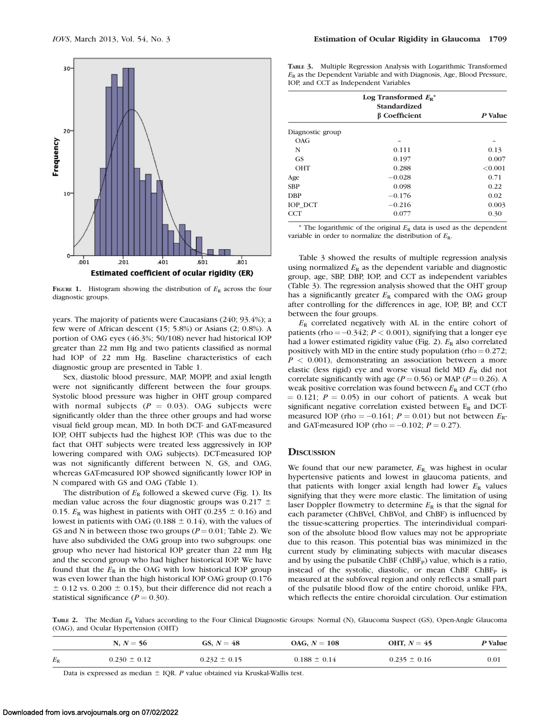

FIGURE 1. Histogram showing the distribution of  $E_R$  across the four diagnostic groups.

years. The majority of patients were Caucasians (240; 93.4%); a few were of African descent (15; 5.8%) or Asians (2; 0.8%). A portion of OAG eyes (46.3%; 50/108) never had historical IOP greater than 22 mm Hg and two patients classified as normal had IOP of 22 mm Hg. Baseline characteristics of each diagnostic group are presented in Table 1.

Sex, diastolic blood pressure, MAP, MOPP, and axial length were not significantly different between the four groups. Systolic blood pressure was higher in OHT group compared with normal subjects  $(P = 0.03)$ . OAG subjects were significantly older than the three other groups and had worse visual field group mean, MD. In both DCT- and GAT-measured IOP, OHT subjects had the highest IOP. (This was due to the fact that OHT subjects were treated less aggressively in IOP lowering compared with OAG subjects). DCT-measured IOP was not significantly different between N, GS, and OAG, whereas GAT-measured IOP showed significantly lower IOP in N compared with GS and OAG (Table 1).

The distribution of  $E_R$  followed a skewed curve (Fig. 1). Its median value across the four diagnostic groups was  $0.217 \pm$ 0.15.  $E_R$  was highest in patients with OHT (0.235  $\pm$  0.16) and lowest in patients with OAG (0.188  $\pm$  0.14), with the values of GS and N in between those two groups  $(P = 0.01$ ; Table 2). We have also subdivided the OAG group into two subgroups: one group who never had historical IOP greater than 22 mm Hg and the second group who had higher historical IOP. We have found that the  $E_R$  in the OAG with low historical IOP group was even lower than the high historical IOP OAG group (0.176  $\pm$  0.12 vs. 0.200  $\pm$  0.15), but their difference did not reach a statistical significance ( $P = 0.30$ ).

TABLE 3. Multiple Regression Analysis with Logarithmic Transformed  $E<sub>R</sub>$  as the Dependent Variable and with Diagnosis, Age, Blood Pressure, IOP, and CCT as Independent Variables

|                  | Log Transformed $E_R^*$<br><b>Standardized</b><br><b>B</b> Coefficient | P Value |
|------------------|------------------------------------------------------------------------|---------|
| Diagnostic group |                                                                        |         |
| OAG              |                                                                        |         |
| N                | 0.111                                                                  | 0.13    |
| <b>GS</b>        | 0.197                                                                  | 0.007   |
| <b>OHT</b>       | 0.288                                                                  | < 0.001 |
| Age              | $-0.028$                                                               | 0.71    |
| <b>SBP</b>       | 0.098                                                                  | 0.22    |
| <b>DBP</b>       | $-0.176$                                                               | 0.02    |
| IOP_DCT          | $-0.216$                                                               | 0.003   |
| <b>CCT</b>       | 0.077                                                                  | 0.30    |

\* The logarithmic of the original  $E_R$  data is used as the dependent variable in order to normalize the distribution of  $E_R$ .

Table 3 showed the results of multiple regression analysis using normalized  $E_R$  as the dependent variable and diagnostic group, age, SBP, DBP, IOP, and CCT as independent variables (Table 3). The regression analysis showed that the OHT group has a significantly greater  $E_R$  compared with the OAG group after controlling for the differences in age, IOP, BP, and CCT between the four groups.

 $E_R$  correlated negatively with AL in the entire cohort of patients (rho  $=$  -0.342;  $P$  < 0.001), signifying that a longer eye had a lower estimated rigidity value (Fig. 2).  $E_R$  also correlated positively with MD in the entire study population (rho =  $0.272$ ;  $P < 0.001$ ), demonstrating an association between a more elastic (less rigid) eye and worse visual field MD  $E_R$  did not correlate significantly with age ( $P = 0.56$ ) or MAP ( $P = 0.26$ ). A weak positive correlation was found between  $E_R$  and CCT (rho  $= 0.121$ ;  $P = 0.05$ ) in our cohort of patients. A weak but significant negative correlation existed between  $E_R$  and DCTmeasured IOP (rho =  $-0.161$ ;  $P = 0.01$ ) but not between  $E_R$ and GAT-measured IOP (rho =  $-0.102$ ;  $P = 0.27$ ).

#### **DISCUSSION**

We found that our new parameter,  $E_{\rm R}$ , was highest in ocular hypertensive patients and lowest in glaucoma patients, and that patients with longer axial length had lower  $E_R$  values signifying that they were more elastic. The limitation of using laser Doppler flowmetry to determine  $E_R$  is that the signal for each parameter (ChBVel, ChBVol, and ChBF) is influenced by the tissue-scattering properties. The interindividual comparison of the absolute blood flow values may not be appropriate due to this reason. This potential bias was minimized in the current study by eliminating subjects with macular diseases and by using the pulsatile ChBF (ChBF<sub>P</sub>) value, which is a ratio, instead of the systolic, diastolic, or mean ChBF. ChBF $_{\rm P}$  is measured at the subfoveal region and only reflects a small part of the pulsatile blood flow of the entire choroid, unlike FPA, which reflects the entire choroidal circulation. Our estimation

TABLE 2. The Median  $E_R$  Values according to the Four Clinical Diagnostic Groups: Normal (N), Glaucoma Suspect (GS), Open-Angle Glaucoma (OAG), and Ocular Hypertension (OHT)

|             | N, $N = 56$      | GS, $N = 48$     | $OAG, N = 108$   | OHT, $N = 45$    | P Value |
|-------------|------------------|------------------|------------------|------------------|---------|
| $E_{\rm R}$ | $0.230 \pm 0.12$ | $0.232 \pm 0.15$ | $0.188 \pm 0.14$ | $0.235 \pm 0.16$ | 0.01    |

Data is expressed as median  $\pm$  IQR. P value obtained via Kruskal-Wallis test.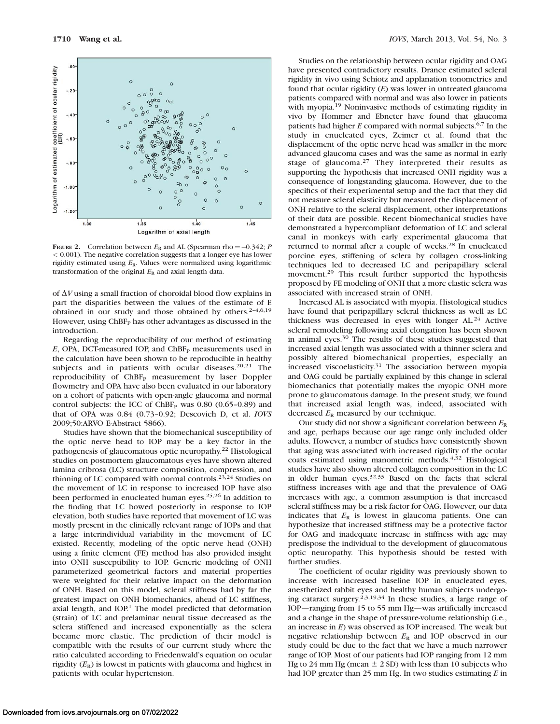

FIGURE 2. Correlation between  $E_R$  and AL (Spearman rho = -0.342; P < 0.001). The negative correlation suggests that a longer eye has lower rigidity estimated using  $E_R$ . Values were normalized using logarithmic transformation of the original  $E_R$  and axial length data.

of  $\Delta V$  using a small fraction of choroidal blood flow explains in part the disparities between the values of the estimate of E obtained in our study and those obtained by others.2–4,6,19 However, using ChBF<sub>P</sub> has other advantages as discussed in the introduction.

Regarding the reproducibility of our method of estimating  $E$ , OPA, DCT-measured IOP, and ChBF<sub>P</sub> measurements used in the calculation have been shown to be reproducible in healthy subjects and in patients with ocular diseases.<sup>20,21</sup> The reproducibility of ChBF<sub>P</sub> measurement by laser Doppler flowmetry and OPA have also been evaluated in our laboratory on a cohort of patients with open-angle glaucoma and normal control subjects: the ICC of  $ChBF<sub>P</sub>$  was 0.80 (0.65-0.89) and that of OPA was 0.84 (0.73–0.92; Descovich D, et al. IOVS 2009;50:ARVO E-Abstract 5866).

Studies have shown that the biomechanical susceptibility of the optic nerve head to IOP may be a key factor in the pathogenesis of glaucomatous optic neuropathy.<sup>22</sup> Histological studies on postmortem glaucomatous eyes have shown altered lamina cribrosa (LC) structure composition, compression, and thinning of LC compared with normal controls.<sup>23,24</sup> Studies on the movement of LC in response to increased IOP have also been performed in enucleated human eyes.<sup>25,26</sup> In addition to the finding that LC bowed posteriorly in response to IOP elevation, both studies have reported that movement of LC was mostly present in the clinically relevant range of IOPs and that a large interindividual variability in the movement of LC existed. Recently, modeling of the optic nerve head (ONH) using a finite element (FE) method has also provided insight into ONH susceptibility to IOP. Generic modeling of ONH parameterized geometrical factors and material properties were weighted for their relative impact on the deformation of ONH. Based on this model, scleral stiffness had by far the greatest impact on ONH biomechanics, ahead of LC stiffness, axial length, and IOP.<sup>1</sup> The model predicted that deformation (strain) of LC and prelaminar neural tissue decreased as the sclera stiffened and increased exponentially as the sclera became more elastic. The prediction of their model is compatible with the results of our current study where the ratio calculated according to Friedenwald's equation on ocular rigidity  $(E_R)$  is lowest in patients with glaucoma and highest in patients with ocular hypertension.

Studies on the relationship between ocular rigidity and OAG have presented contradictory results. Drance estimated scleral rigidity in vivo using Schiotz and applanation tonometries and found that ocular rigidity  $(E)$  was lower in untreated glaucoma patients compared with normal and was also lower in patients with myopia.<sup>19</sup> Noninvasive methods of estimating rigidity in vivo by Hommer and Ebneter have found that glaucoma patients had higher  $E$  compared with normal subjects.<sup>6,7</sup> In the study in enucleated eyes, Zeimer et al. found that the displacement of the optic nerve head was smaller in the more advanced glaucoma cases and was the same as normal in early stage of glaucoma.<sup>27</sup> They interpreted their results as supporting the hypothesis that increased ONH rigidity was a consequence of longstanding glaucoma. However, due to the specifics of their experimental setup and the fact that they did not measure scleral elasticity but measured the displacement of ONH relative to the scleral displacement, other interpretations of their data are possible. Recent biomechanical studies have demonstrated a hypercompliant deformation of LC and scleral canal in monkeys with early experimental glaucoma that returned to normal after a couple of weeks.<sup>28</sup> In enucleated porcine eyes, stiffening of sclera by collagen cross-linking techniques led to decreased LC and peripapillary scleral movement.<sup>29</sup> This result further supported the hypothesis proposed by FE modeling of ONH that a more elastic sclera was associated with increased strain of ONH.

Increased AL is associated with myopia. Histological studies have found that peripapillary scleral thickness as well as LC thickness was decreased in eyes with longer AL.<sup>24</sup> Active scleral remodeling following axial elongation has been shown in animal eyes.30 The results of these studies suggested that increased axial length was associated with a thinner sclera and possibly altered biomechanical properties, especially an increased viscoelasticity.31 The association between myopia and OAG could be partially explained by this change in scleral biomechanics that potentially makes the myopic ONH more prone to glaucomatous damage. In the present study, we found that increased axial length was, indeed, associated with decreased  $E_R$  measured by our technique.

Our study did not show a significant correlation between  $E_R$ and age, perhaps because our age range only included older adults. However, a number of studies have consistently shown that aging was associated with increased rigidity of the ocular coats estimated using manometric methods.<sup>4,32</sup> Histological studies have also shown altered collagen composition in the LC in older human eyes.32,33 Based on the facts that scleral stiffness increases with age and that the prevalence of OAG increases with age, a common assumption is that increased scleral stiffness may be a risk factor for OAG. However, our data indicates that  $E_R$  is lowest in glaucoma patients. One can hypothesize that increased stiffness may be a protective factor for OAG and inadequate increase in stiffness with age may predispose the individual to the development of glaucomatous optic neuropathy. This hypothesis should be tested with further studies.

The coefficient of ocular rigidity was previously shown to increase with increased baseline IOP in enucleated eyes, anesthetized rabbit eyes and healthy human subjects undergoing cataract surgery.2,3,19,34 In these studies, a large range of IOP—ranging from 15 to 55 mm Hg—was artificially increased and a change in the shape of pressure-volume relationship (i.e., an increase in E) was observed as IOP increased. The weak but negative relationship between  $E_R$  and IOP observed in our study could be due to the fact that we have a much narrower range of IOP. Most of our patients had IOP ranging from 12 mm Hg to 24 mm Hg (mean  $\pm$  2 SD) with less than 10 subjects who had IOP greater than  $25$  mm Hg. In two studies estimating  $E$  in